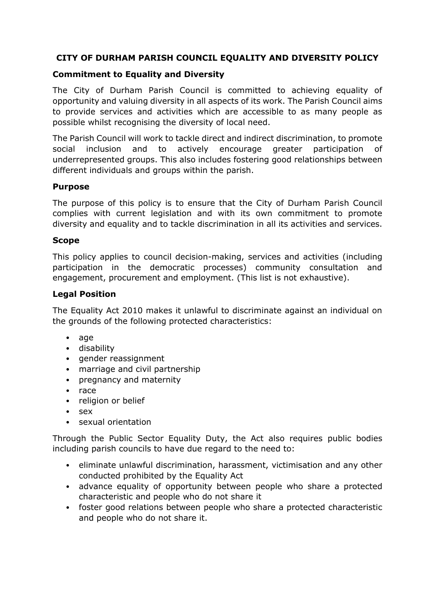# **CITY OF DURHAM PARISH COUNCIL EQUALITY AND DIVERSITY POLICY**

### **Commitment to Equality and Diversity**

The City of Durham Parish Council is committed to achieving equality of opportunity and valuing diversity in all aspects of its work. The Parish Council aims to provide services and activities which are accessible to as many people as possible whilst recognising the diversity of local need.

The Parish Council will work to tackle direct and indirect discrimination, to promote social inclusion and to actively encourage greater participation of underrepresented groups. This also includes fostering good relationships between different individuals and groups within the parish.

#### **Purpose**

The purpose of this policy is to ensure that the City of Durham Parish Council complies with current legislation and with its own commitment to promote diversity and equality and to tackle discrimination in all its activities and services.

#### **Scope**

This policy applies to council decision-making, services and activities (including participation in the democratic processes) community consultation and engagement, procurement and employment. (This list is not exhaustive).

#### **Legal Position**

The Equality Act 2010 makes it unlawful to discriminate against an individual on the grounds of the following protected characteristics:

- age
- disability
- gender reassignment
- marriage and civil partnership
- pregnancy and maternity
- race
- religion or belief
- sex
- sexual orientation

Through the Public Sector Equality Duty, the Act also requires public bodies including parish councils to have due regard to the need to:

- eliminate unlawful discrimination, harassment, victimisation and any other conducted prohibited by the Equality Act
- advance equality of opportunity between people who share a protected characteristic and people who do not share it
- foster good relations between people who share a protected characteristic and people who do not share it.